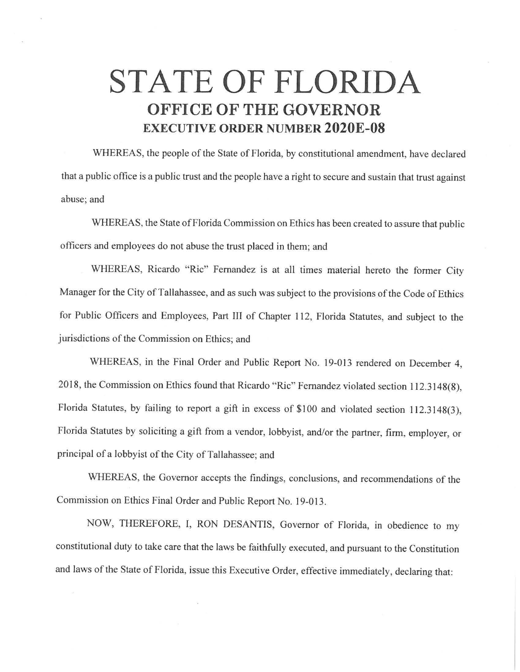## **STATE OF FLORIDA OFFICE OF THE GOVERNOR EXECUTIVE ORDER NUMBER 2020E-08**

WHEREAS, the people of the State of Florida, by constitutional amendment, have declared that a public office is a public trust and the people have a right to secure and sustain that trust against abuse; and

WHEREAS, the State of Florida Commission on Ethics has been created to assure that public officers and employees do not abuse the trust placed in them; and

WHEREAS, Ricardo "Ric" Fernandez is at all times material hereto the former City Manager for the City of Tallahassee, and as such was subject to the provisions of the Code of Ethics for Public Officers and Employees, Part III of Chapter 112, Florida Statutes, and subject to the jurisdictions of the Commission on Ethics; and

WHEREAS, in the Final Order and Public Report No. 19-013 rendered on December 4, 2018, the Commission on Ethics found that Ricardo "Ric" Fernandez violated section 112.3148(8), Florida Statutes, by failing to report a gift in excess of \$100 and violated section 112.3148(3), Florida Statutes by soliciting a gift from a vendor, lobbyist, and/or the partner, firm, employer, or principal of a lobbyist of the City of Tallahassee; and

WHEREAS, the Governor accepts the findings, conclusions, and recommendations of the Commission on Ethics Final Order and Public Report No. 19-013.

NOW, THEREFORE, I, RON DESANTIS, Governor of Florida, in obedience to my constitutional duty to take care that the laws be faithfully executed, and pursuant to the Constitution and laws of the State of Florida, issue this Executive Order, effective immediately, declaring that: